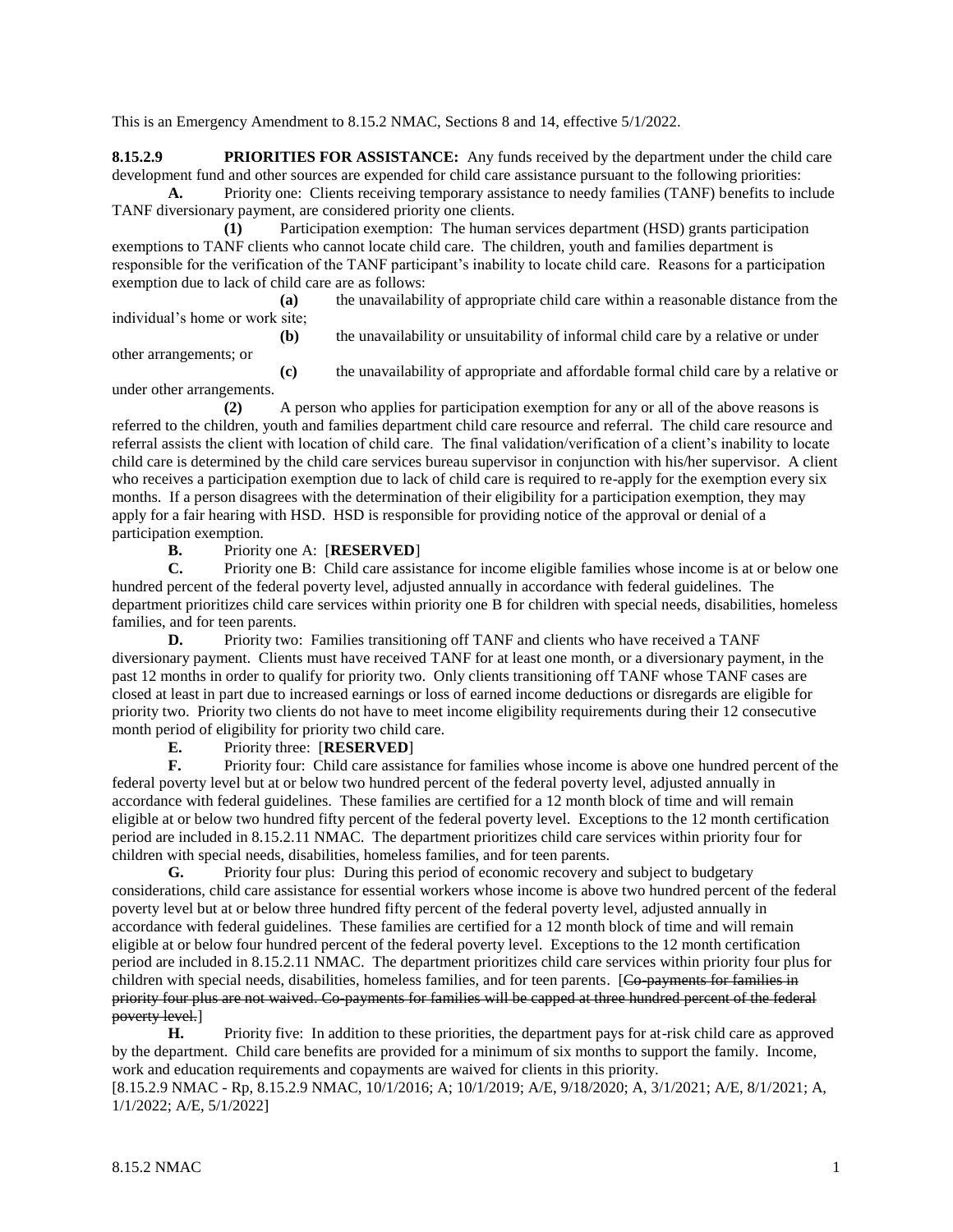This is an Emergency Amendment to 8.15.2 NMAC, Sections 8 and 14, effective 5/1/2022.

**8.15.2.9 PRIORITIES FOR ASSISTANCE:** Any funds received by the department under the child care development fund and other sources are expended for child care assistance pursuant to the following priorities:

**A.** Priority one: Clients receiving temporary assistance to needy families (TANF) benefits to include TANF diversionary payment, are considered priority one clients.

**(1)** Participation exemption: The human services department (HSD) grants participation exemptions to TANF clients who cannot locate child care. The children, youth and families department is responsible for the verification of the TANF participant's inability to locate child care. Reasons for a participation exemption due to lack of child care are as follows:

**(a)** the unavailability of appropriate child care within a reasonable distance from the individual's home or work site;

**(b)** the unavailability or unsuitability of informal child care by a relative or under

other arrangements; or

**(c)** the unavailability of appropriate and affordable formal child care by a relative or under other arrangements.

**(2)** A person who applies for participation exemption for any or all of the above reasons is referred to the children, youth and families department child care resource and referral. The child care resource and referral assists the client with location of child care. The final validation/verification of a client's inability to locate child care is determined by the child care services bureau supervisor in conjunction with his/her supervisor. A client who receives a participation exemption due to lack of child care is required to re-apply for the exemption every six months. If a person disagrees with the determination of their eligibility for a participation exemption, they may apply for a fair hearing with HSD. HSD is responsible for providing notice of the approval or denial of a participation exemption.

**B.** Priority one A: [**RESERVED**]

**C.** Priority one B: Child care assistance for income eligible families whose income is at or below one hundred percent of the federal poverty level, adjusted annually in accordance with federal guidelines. The department prioritizes child care services within priority one B for children with special needs, disabilities, homeless families, and for teen parents.

**D.** Priority two: Families transitioning off TANF and clients who have received a TANF diversionary payment. Clients must have received TANF for at least one month, or a diversionary payment, in the past 12 months in order to qualify for priority two. Only clients transitioning off TANF whose TANF cases are closed at least in part due to increased earnings or loss of earned income deductions or disregards are eligible for priority two. Priority two clients do not have to meet income eligibility requirements during their 12 consecutive month period of eligibility for priority two child care.

**E.** Priority three: [**RESERVED**]

**F.** Priority four: Child care assistance for families whose income is above one hundred percent of the federal poverty level but at or below two hundred percent of the federal poverty level, adjusted annually in accordance with federal guidelines. These families are certified for a 12 month block of time and will remain eligible at or below two hundred fifty percent of the federal poverty level. Exceptions to the 12 month certification period are included in 8.15.2.11 NMAC. The department prioritizes child care services within priority four for children with special needs, disabilities, homeless families, and for teen parents.

**G.** Priority four plus: During this period of economic recovery and subject to budgetary considerations, child care assistance for essential workers whose income is above two hundred percent of the federal poverty level but at or below three hundred fifty percent of the federal poverty level, adjusted annually in accordance with federal guidelines. These families are certified for a 12 month block of time and will remain eligible at or below four hundred percent of the federal poverty level. Exceptions to the 12 month certification period are included in 8.15.2.11 NMAC. The department prioritizes child care services within priority four plus for children with special needs, disabilities, homeless families, and for teen parents. [Co-payments for families in priority four plus are not waived. Co-payments for families will be capped at three hundred percent of the federal poverty level.]

**H.** Priority five: In addition to these priorities, the department pays for at-risk child care as approved by the department. Child care benefits are provided for a minimum of six months to support the family. Income, work and education requirements and copayments are waived for clients in this priority.

[8.15.2.9 NMAC - Rp, 8.15.2.9 NMAC, 10/1/2016; A; 10/1/2019; A/E, 9/18/2020; A, 3/1/2021; A/E, 8/1/2021; A, 1/1/2022; A/E, 5/1/2022]